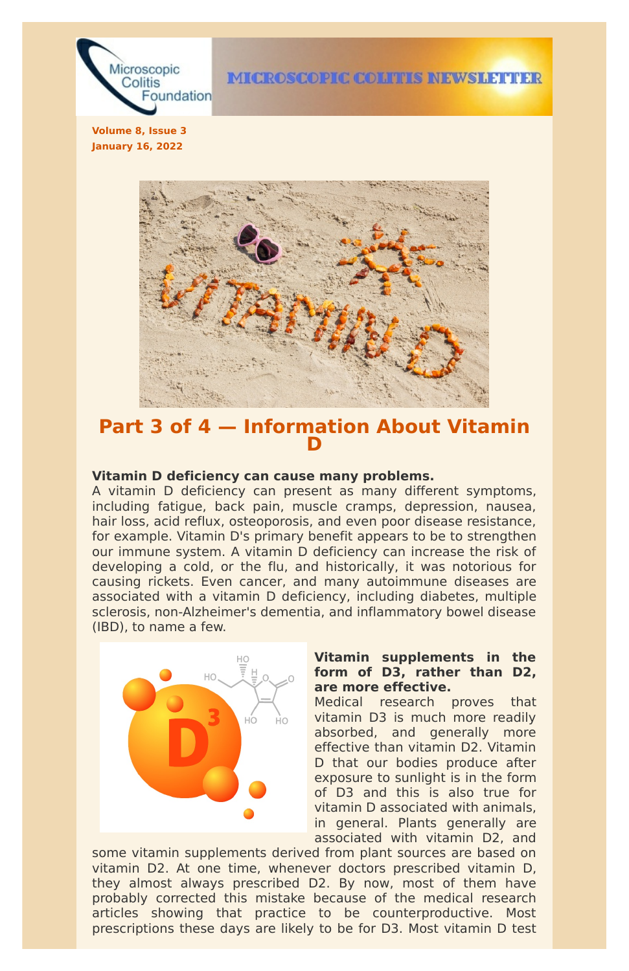

**Volume 8, Issue 3 January 16, 2022**



# **Part 3 of 4 — Information About Vitamin D**

#### **Vitamin D deficiency can cause many problems.**

A vitamin D deficiency can present as many different symptoms, including fatigue, back pain, muscle cramps, depression, nausea, hair loss, acid reflux, osteoporosis, and even poor disease resistance, for example. Vitamin D's primary benefit appears to be to strengthen our immune system. A vitamin D deficiency can increase the risk of developing a cold, or the flu, and historically, it was notorious for causing rickets. Even cancer, and many autoimmune diseases are associated with a vitamin D deficiency, including diabetes, multiple sclerosis, non-Alzheimer's dementia, and inflammatory bowel disease (IBD), to name a few.



# **Vitamin supplements in the form of D3, rather than D2, are more effective.**

Medical research proves that

vitamin D3 is much more readily absorbed, and generally more effective than vitamin D2. Vitamin D that our bodies produce after exposure to sunlight is in the form of D3 and this is also true for vitamin D associated with animals, in general. Plants generally are associated with vitamin D2, and

some vitamin supplements derived from plant sources are based on vitamin D2. At one time, whenever doctors prescribed vitamin D, they almost always prescribed D2. By now, most of them have probably corrected this mistake because of the medical research articles showing that practice to be counterproductive. Most prescriptions these days are likely to be for D3. Most vitamin D test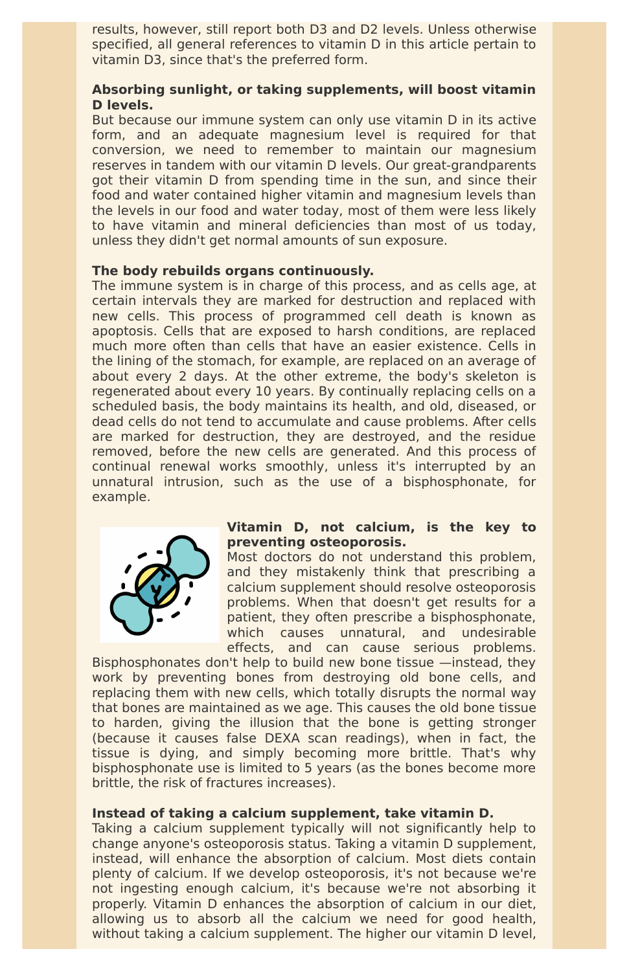results, however, still report both D3 and D2 levels. Unless otherwise specified, all general references to vitamin D in this article pertain to vitamin D3, since that's the preferred form.

# **Absorbing sunlight, or taking supplements, will boost vitamin D levels.**

But because our immune system can only use vitamin D in its active form, and an adequate magnesium level is required for that conversion, we need to remember to maintain our magnesium reserves in tandem with our vitamin D levels. Our great-grandparents got their vitamin D from spending time in the sun, and since their food and water contained higher vitamin and magnesium levels than the levels in our food and water today, most of them were less likely to have vitamin and mineral deficiencies than most of us today, unless they didn't get normal amounts of sun exposure.

#### **The body rebuilds organs continuously.**

The immune system is in charge of this process, and as cells age, at certain intervals they are marked for destruction and replaced with new cells. This process of programmed cell death is known as apoptosis. Cells that are exposed to harsh conditions, are replaced much more often than cells that have an easier existence. Cells in the lining of the stomach, for example, are replaced on an average of about every 2 days. At the other extreme, the body's skeleton is regenerated about every 10 years. By continually replacing cells on a scheduled basis, the body maintains its health, and old, diseased, or dead cells do not tend to accumulate and cause problems. After cells are marked for destruction, they are destroyed, and the residue removed, before the new cells are generated. And this process of continual renewal works smoothly, unless it's interrupted by an unnatural intrusion, such as the use of a bisphosphonate, for example.



Taking a calcium supplement typically will not significantly help to change anyone's osteoporosis status. Taking a vitamin D supplement, instead, will enhance the absorption of calcium. Most diets contain plenty of calcium. If we develop osteoporosis, it's not because we're not ingesting enough calcium, it's because we're not absorbing it properly. Vitamin D enhances the absorption of calcium in our diet, allowing us to absorb all the calcium we need for good health, without taking a calcium supplement. The higher our vitamin D level,

# **Vitamin D, not calcium, is the key to preventing osteoporosis.**

Most doctors do not understand this problem, and they mistakenly think that prescribing a calcium supplement should resolve osteoporosis problems. When that doesn't get results for a patient, they often prescribe a bisphosphonate, which causes unnatural, and undesirable effects, and can cause serious problems.

Bisphosphonates don't help to build new bone tissue —instead, they work by preventing bones from destroying old bone cells, and replacing them with new cells, which totally disrupts the normal way that bones are maintained as we age. This causes the old bone tissue to harden, giving the illusion that the bone is getting stronger (because it causes false DEXA scan readings), when in fact, the tissue is dying, and simply becoming more brittle. That's why bisphosphonate use is limited to 5 years (as the bones become more brittle, the risk of fractures increases).

#### **Instead of taking a calcium supplement, take vitamin D.**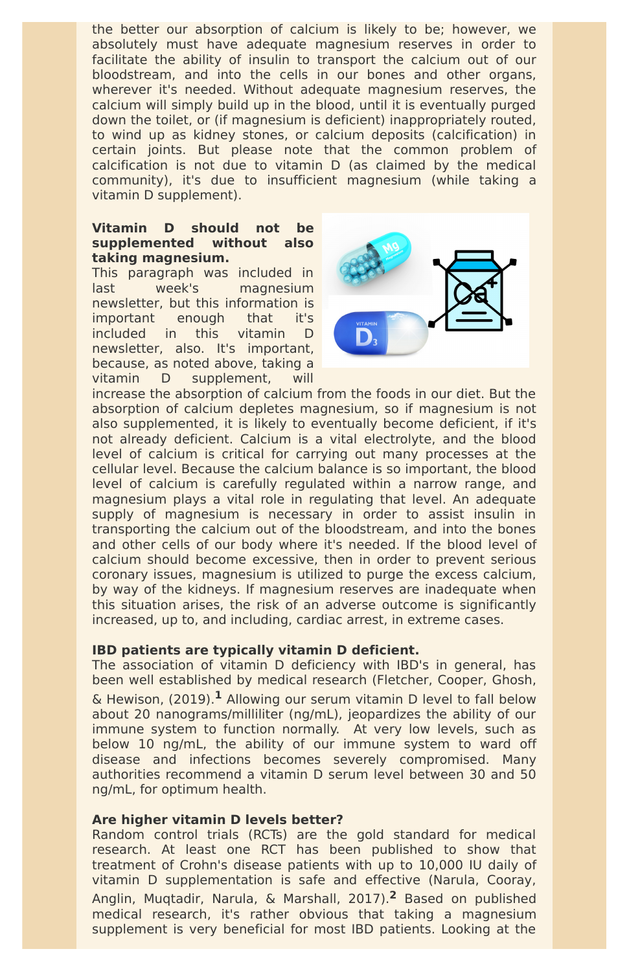the better our absorption of calcium is likely to be; however, we absolutely must have adequate magnesium reserves in order to facilitate the ability of insulin to transport the calcium out of our bloodstream, and into the cells in our bones and other organs, wherever it's needed. Without adequate magnesium reserves, the calcium will simply build up in the blood, until it is eventually purged down the toilet, or (if magnesium is deficient) inappropriately routed, to wind up as kidney stones, or calcium deposits (calcification) in certain joints. But please note that the common problem of calcification is not due to vitamin D (as claimed by the medical community), it's due to insufficient magnesium (while taking a vitamin D supplement).

### **Vitamin D should not be supplemented without also taking magnesium.**

This paragraph was included in last week's magnesium newsletter, but this information is important enough that it's included in this vitamin D newsletter, also. It's important, because, as noted above, taking a vitamin D supplement, will



increase the absorption of calcium from the foods in our diet. But the absorption of calcium depletes magnesium, so if magnesium is not also supplemented, it is likely to eventually become deficient, if it's not already deficient. Calcium is a vital electrolyte, and the blood level of calcium is critical for carrying out many processes at the cellular level. Because the calcium balance is so important, the blood level of calcium is carefully regulated within a narrow range, and magnesium plays a vital role in regulating that level. An adequate supply of magnesium is necessary in order to assist insulin in transporting the calcium out of the bloodstream, and into the bones and other cells of our body where it's needed. If the blood level of calcium should become excessive, then in order to prevent serious coronary issues, magnesium is utilized to purge the excess calcium, by way of the kidneys. If magnesium reserves are inadequate when this situation arises, the risk of an adverse outcome is significantly increased, up to, and including, cardiac arrest, in extreme cases.

# **IBD patients are typically vitamin D deficient.**

The association of vitamin D deficiency with IBD's in general, has been well established by medical research (Fletcher, Cooper, Ghosh, & Hewison, (2019). **<sup>1</sup>** Allowing our serum vitamin D level to fall below about 20 nanograms/milliliter (ng/mL), jeopardizes the ability of our immune system to function normally. At very low levels, such as below 10 ng/mL, the ability of our immune system to ward off disease and infections becomes severely compromised. Many authorities recommend a vitamin D serum level between 30 and 50 ng/mL, for optimum health.

#### **Are higher vitamin D levels better?**

Random control trials (RCTs) are the gold standard for medical research. At least one RCT has been published to show that treatment of Crohn's disease patients with up to 10,000 IU daily of vitamin D supplementation is safe and effective (Narula, Cooray, Anglin, Muqtadir, Narula, & Marshall, 2017). **<sup>2</sup>** Based on published medical research, it's rather obvious that taking a magnesium supplement is very beneficial for most IBD patients. Looking at the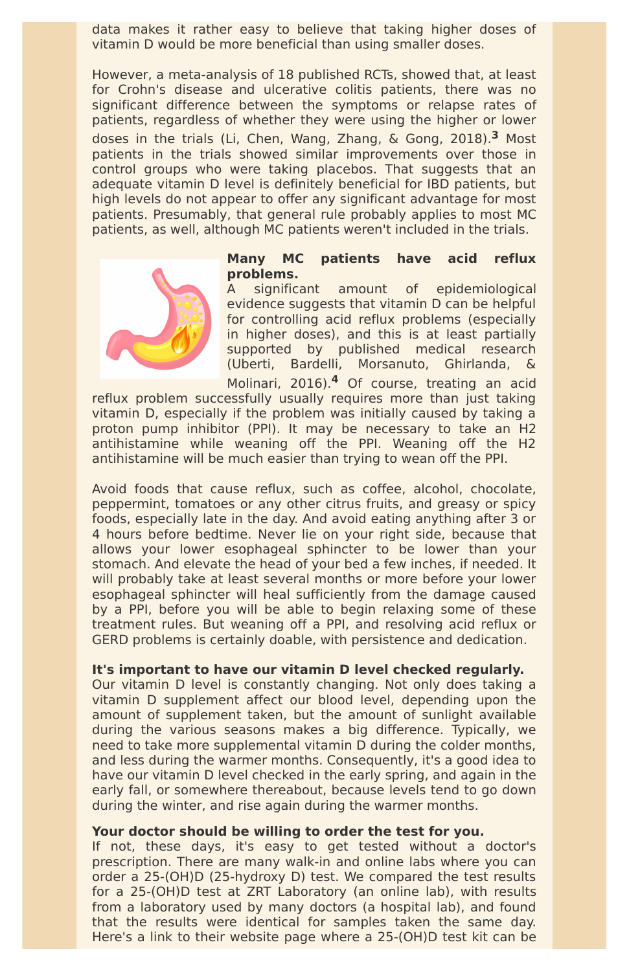data makes it rather easy to believe that taking higher doses of vitamin D would be more beneficial than using smaller doses.

However, a meta-analysis of 18 published RCTs, showed that, at least for Crohn's disease and ulcerative colitis patients, there was no significant difference between the symptoms or relapse rates of patients, regardless of whether they were using the higher or lower doses in the trials (Li, Chen, Wang, Zhang, & Gong, 2018). **<sup>3</sup>** Most patients in the trials showed similar improvements over those in control groups who were taking placebos. That suggests that an adequate vitamin D level is definitely beneficial for IBD patients, but high levels do not appear to offer any significant advantage for most patients. Presumably, that general rule probably applies to most MC patients, as well, although MC patients weren't included in the trials.



#### **Many MC patients have acid reflux problems.**

A significant amount of epidemiological evidence suggests that vitamin D can be helpful for controlling acid reflux problems (especially in higher doses), and this is at least partially supported by published medical research (Uberti, Bardelli, Morsanuto, Ghirlanda, & Molinari, 2016). **<sup>4</sup>** Of course, treating an acid

reflux problem successfully usually requires more than just taking vitamin D, especially if the problem was initially caused by taking a proton pump inhibitor (PPI). It may be necessary to take an H2 antihistamine while weaning off the PPI. Weaning off the H2 antihistamine will be much easier than trying to wean off the PPI.

Avoid foods that cause reflux, such as coffee, alcohol, chocolate, peppermint, tomatoes or any other citrus fruits, and greasy or spicy foods, especially late in the day. And avoid eating anything after 3 or 4 hours before bedtime. Never lie on your right side, because that allows your lower esophageal sphincter to be lower than your stomach. And elevate the head of your bed a few inches, if needed. It will probably take at least several months or more before your lower esophageal sphincter will heal sufficiently from the damage caused by a PPI, before you will be able to begin relaxing some of these treatment rules. But weaning off a PPI, and resolving acid reflux or GERD problems is certainly doable, with persistence and dedication.

# **It's important to have our vitamin D level checked regularly.**

Our vitamin D level is constantly changing. Not only does taking a vitamin D supplement affect our blood level, depending upon the amount of supplement taken, but the amount of sunlight available during the various seasons makes a big difference. Typically, we need to take more supplemental vitamin D during the colder months, and less during the warmer months. Consequently, it's a good idea to have our vitamin D level checked in the early spring, and again in the early fall, or somewhere thereabout, because levels tend to go down during the winter, and rise again during the warmer months.

#### **Your doctor should be willing to order the test for you.**

If not, these days, it's easy to get tested without a doctor's prescription. There are many walk-in and online labs where you can order a 25-(OH)D (25-hydroxy D) test. We compared the test results for a 25-(OH)D test at ZRT Laboratory (an online lab), with results from a laboratory used by many doctors (a hospital lab), and found that the results were identical for samples taken the same day. Here's a link to their website page where a 25-(OH)D test kit can be